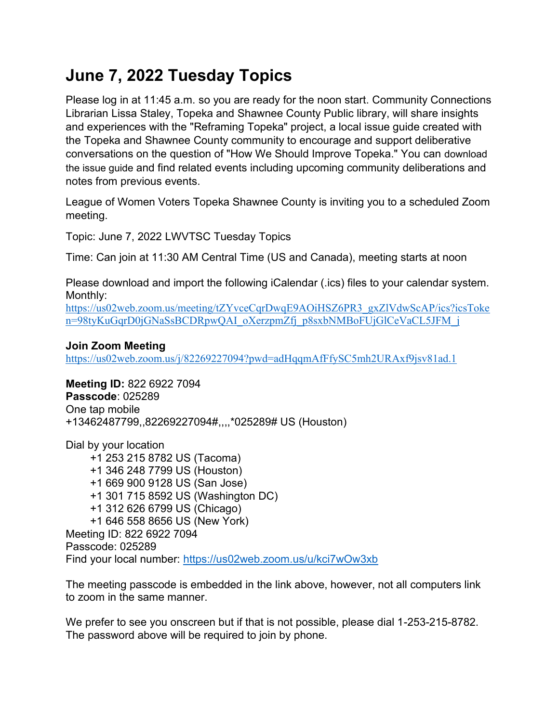# **June 7, 2022 Tuesday Topics**

Please log in at 11:45 a.m. so you are ready for the noon start. Community Connections Librarian Lissa Staley, Topeka and Shawnee County Public library, will share insights and experiences with the "Reframing Topeka" project, a local issue guide created with the Topeka and Shawnee County community to encourage and support deliberative conversations on the question of "How We Should Improve Topeka." You can [download](https://tscpl.org/conversations)  [the issue guide](https://tscpl.org/conversations) and find related events including upcoming community deliberations and notes from previous events.

League of Women Voters Topeka Shawnee County is inviting you to a scheduled Zoom meeting.

Topic: June 7, 2022 LWVTSC Tuesday Topics

Time: Can join at 11:30 AM Central Time (US and Canada), meeting starts at noon

Please download and import the following iCalendar (.ics) files to your calendar system. Monthly:

[https://us02web.zoom.us/meeting/tZYvceCqrDwqE9AOiHSZ6PR3\\_gxZlVdwScAP/ics?icsToke](https://us02web.zoom.us/meeting/tZYvceCqrDwqE9AOiHSZ6PR3_gxZlVdwScAP/ics?icsToken=98tyKuGqrD0jGNaSsBCDRpwQAI_oXerzpmZfj_p8sxbNMBoFUjGlCeVaCL5JFM_j) [n=98tyKuGqrD0jGNaSsBCDRpwQAI\\_oXerzpmZfj\\_p8sxbNMBoFUjGlCeVaCL5JFM\\_j](https://us02web.zoom.us/meeting/tZYvceCqrDwqE9AOiHSZ6PR3_gxZlVdwScAP/ics?icsToken=98tyKuGqrD0jGNaSsBCDRpwQAI_oXerzpmZfj_p8sxbNMBoFUjGlCeVaCL5JFM_j)

## **Join Zoom Meeting**

<https://us02web.zoom.us/j/82269227094?pwd=adHqqmAfFfySC5mh2URAxf9jsv81ad.1>

**Meeting ID:** 822 6922 7094 **Passcode**: 025289 One tap mobile +13462487799,,82269227094#,,,,\*025289# US (Houston)

Dial by your location +1 253 215 8782 US (Tacoma) +1 346 248 7799 US (Houston) +1 669 900 9128 US (San Jose) +1 301 715 8592 US (Washington DC) +1 312 626 6799 US (Chicago) +1 646 558 8656 US (New York) Meeting ID: 822 6922 7094 Passcode: 025289 Find your local number:<https://us02web.zoom.us/u/kci7wOw3xb>

The meeting passcode is embedded in the link above, however, not all computers link to zoom in the same manner.

We prefer to see you onscreen but if that is not possible, please dial 1-253-215-8782. The password above will be required to join by phone.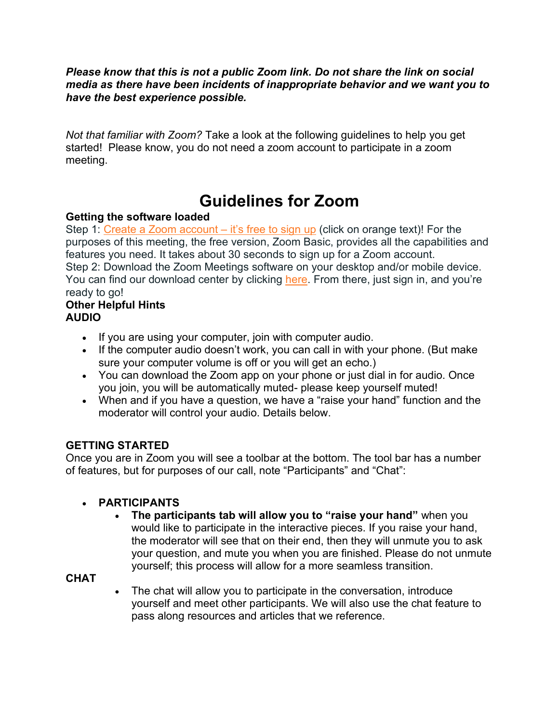*Please know that this is not a public Zoom link. Do not share the link on social media as there have been incidents of inappropriate behavior and we want you to have the best experience possible.*

*Not that familiar with Zoom?* Take a look at the following guidelines to help you get started! Please know, you do not need a zoom account to participate in a zoom meeting.

# **Guidelines for Zoom**

## **Getting the software loaded**

Step 1: [Create a Zoom account](https://zoom.us/signup?zcid=1231) – it's free to sign up (click on orange text)! For the purposes of this meeting, the free version, Zoom Basic, provides all the capabilities and features you need. It takes about 30 seconds to sign up for a Zoom account. Step 2: Download the Zoom Meetings software on your desktop and/or mobile device. You can find our download center by clicking [here](https://zoom.us/download?zcid=1231). From there, just sign in, and you're ready to go!

#### **Other Helpful Hints AUDIO**

- If you are using your computer, join with computer audio.
- If the computer audio doesn't work, you can call in with your phone. (But make sure your computer volume is off or you will get an echo.)
- You can download the Zoom app on your phone or just dial in for audio. Once you join, you will be automatically muted- please keep yourself muted!
- When and if you have a question, we have a "raise your hand" function and the moderator will control your audio. Details below.

# **GETTING STARTED**

Once you are in Zoom you will see a toolbar at the bottom. The tool bar has a number of features, but for purposes of our call, note "Participants" and "Chat":

# • **PARTICIPANTS**

• **The participants tab will allow you to "raise your hand"** when you would like to participate in the interactive pieces. If you raise your hand, the moderator will see that on their end, then they will unmute you to ask your question, and mute you when you are finished. Please do not unmute yourself; this process will allow for a more seamless transition.

# **CHAT**

• The chat will allow you to participate in the conversation, introduce yourself and meet other participants. We will also use the chat feature to pass along resources and articles that we reference.